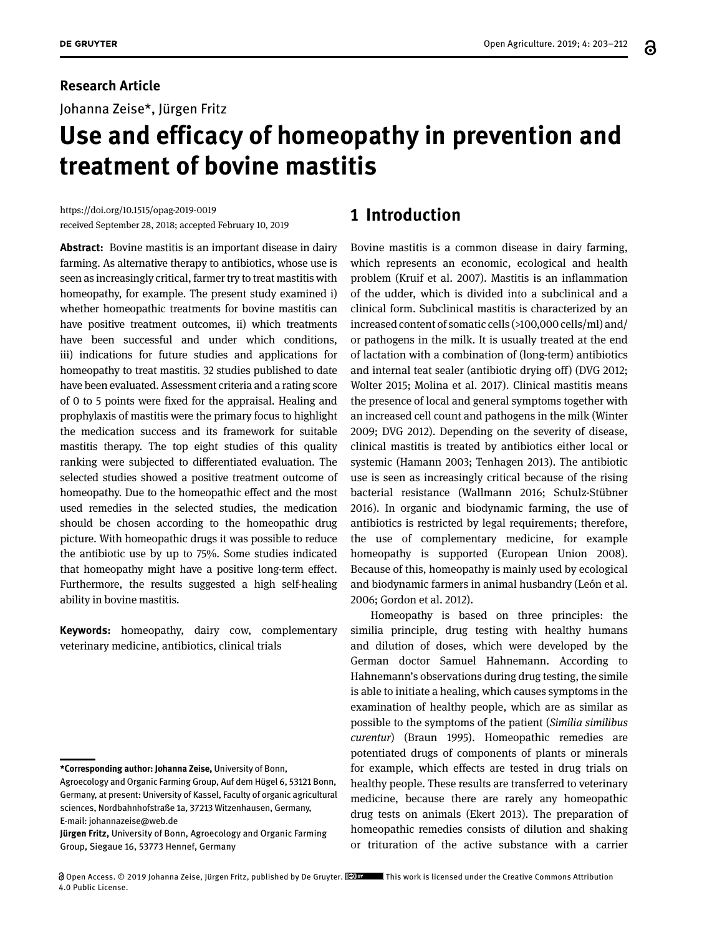## **Research Article**

Johanna Zeise\*, Jürgen Fritz

# **Use and efficacy of homeopathy in prevention and treatment of bovine mastitis**

https://doi.org/10.1515/opag-2019-0019 received September 28, 2018; accepted February 10, 2019

**Abstract:** Bovine mastitis is an important disease in dairy farming. As alternative therapy to antibiotics, whose use is seen as increasingly critical, farmer try to treat mastitis with homeopathy, for example. The present study examined i) whether homeopathic treatments for bovine mastitis can have positive treatment outcomes, ii) which treatments have been successful and under which conditions, iii) indications for future studies and applications for homeopathy to treat mastitis. 32 studies published to date have been evaluated. Assessment criteria and a rating score of 0 to 5 points were fixed for the appraisal. Healing and prophylaxis of mastitis were the primary focus to highlight the medication success and its framework for suitable mastitis therapy. The top eight studies of this quality ranking were subjected to differentiated evaluation. The selected studies showed a positive treatment outcome of homeopathy. Due to the homeopathic effect and the most used remedies in the selected studies, the medication should be chosen according to the homeopathic drug picture. With homeopathic drugs it was possible to reduce the antibiotic use by up to 75%. Some studies indicated that homeopathy might have a positive long-term effect. Furthermore, the results suggested a high self-healing ability in bovine mastitis.

**Keywords:** homeopathy, dairy cow, complementary veterinary medicine, antibiotics, clinical trials

# **1 Introduction**

Bovine mastitis is a common disease in dairy farming, which represents an economic, ecological and health problem (Kruif et al. 2007). Mastitis is an inflammation of the udder, which is divided into a subclinical and a clinical form. Subclinical mastitis is characterized by an increased content of somatic cells (>100,000 cells/ml) and/ or pathogens in the milk. It is usually treated at the end of lactation with a combination of (long-term) antibiotics and internal teat sealer (antibiotic drying off) (DVG 2012; Wolter 2015; Molina et al. 2017). Clinical mastitis means the presence of local and general symptoms together with an increased cell count and pathogens in the milk (Winter 2009; DVG 2012). Depending on the severity of disease, clinical mastitis is treated by antibiotics either local or systemic (Hamann 2003; Tenhagen 2013). The antibiotic use is seen as increasingly critical because of the rising bacterial resistance (Wallmann 2016; Schulz-Stübner 2016). In organic and biodynamic farming, the use of antibiotics is restricted by legal requirements; therefore, the use of complementary medicine, for example homeopathy is supported (European Union 2008). Because of this, homeopathy is mainly used by ecological and biodynamic farmers in animal husbandry (León et al. 2006; Gordon et al. 2012).

Homeopathy is based on three principles: the similia principle, drug testing with healthy humans and dilution of doses, which were developed by the German doctor Samuel Hahnemann. According to Hahnemann's observations during drug testing, the simile is able to initiate a healing, which causes symptoms in the examination of healthy people, which are as similar as possible to the symptoms of the patient (*Similia similibus curentur*) (Braun 1995). Homeopathic remedies are potentiated drugs of components of plants or minerals for example, which effects are tested in drug trials on healthy people. These results are transferred to veterinary medicine, because there are rarely any homeopathic drug tests on animals (Ekert 2013). The preparation of homeopathic remedies consists of dilution and shaking or trituration of the active substance with a carrier

**<sup>\*</sup>Corresponding author: Johanna Zeise,** University of Bonn,

Agroecology and Organic Farming Group, Auf dem Hügel 6, 53121 Bonn, Germany, at present: University of Kassel, Faculty of organic agricultural sciences, Nordbahnhofstraße 1a, 37213 Witzenhausen, Germany, E-mail: johannazeise@web.de

**Jürgen Fritz,** University of Bonn, Agroecology and Organic Farming Group, Siegaue 16, 53773 Hennef, Germany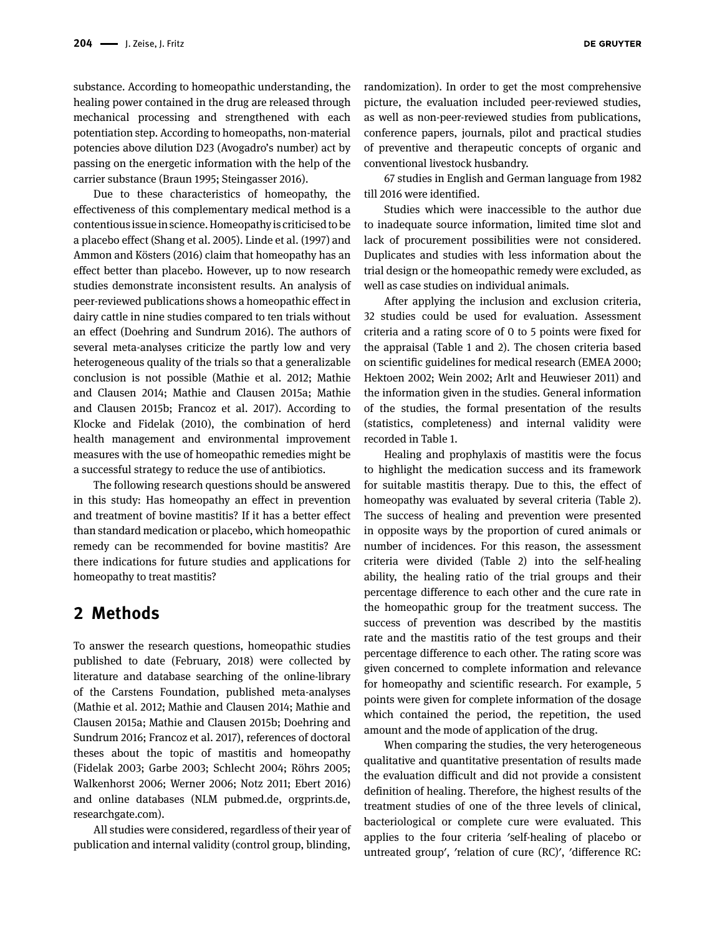substance. According to homeopathic understanding, the healing power contained in the drug are released through mechanical processing and strengthened with each potentiation step. According to homeopaths, non-material potencies above dilution D23 (Avogadro's number) act by passing on the energetic information with the help of the carrier substance (Braun 1995; Steingasser 2016).

Due to these characteristics of homeopathy, the effectiveness of this complementary medical method is a contentious issue in science. Homeopathy is criticised to be a placebo effect (Shang et al. 2005). Linde et al. (1997) and Ammon and Kösters (2016) claim that homeopathy has an effect better than placebo. However, up to now research studies demonstrate inconsistent results. An analysis of peer-reviewed publications shows a homeopathic effect in dairy cattle in nine studies compared to ten trials without an effect (Doehring and Sundrum 2016). The authors of several meta-analyses criticize the partly low and very heterogeneous quality of the trials so that a generalizable conclusion is not possible (Mathie et al. 2012; Mathie and Clausen 2014; Mathie and Clausen 2015a; Mathie and Clausen 2015b; Francoz et al. 2017). According to Klocke and Fidelak (2010), the combination of herd health management and environmental improvement measures with the use of homeopathic remedies might be a successful strategy to reduce the use of antibiotics.

The following research questions should be answered in this study: Has homeopathy an effect in prevention and treatment of bovine mastitis? If it has a better effect than standard medication or placebo, which homeopathic remedy can be recommended for bovine mastitis? Are there indications for future studies and applications for homeopathy to treat mastitis?

## **2 Methods**

To answer the research questions, homeopathic studies published to date (February, 2018) were collected by literature and database searching of the online-library of the Carstens Foundation, published meta-analyses (Mathie et al. 2012; Mathie and Clausen 2014; Mathie and Clausen 2015a; Mathie and Clausen 2015b; Doehring and Sundrum 2016; Francoz et al. 2017), references of doctoral theses about the topic of mastitis and homeopathy (Fidelak 2003; Garbe 2003; Schlecht 2004; Röhrs 2005; Walkenhorst 2006; Werner 2006; Notz 2011; Ebert 2016) and online databases (NLM pubmed.de, orgprints.de, researchgate.com).

All studies were considered, regardless of their year of publication and internal validity (control group, blinding,

67 studies in English and German language from 1982 till 2016 were identified.

conventional livestock husbandry.

Studies which were inaccessible to the author due to inadequate source information, limited time slot and lack of procurement possibilities were not considered. Duplicates and studies with less information about the trial design or the homeopathic remedy were excluded, as well as case studies on individual animals.

After applying the inclusion and exclusion criteria, 32 studies could be used for evaluation. Assessment criteria and a rating score of 0 to 5 points were fixed for the appraisal (Table 1 and 2). The chosen criteria based on scientific guidelines for medical research (EMEA 2000; Hektoen 2002; Wein 2002; Arlt and Heuwieser 2011) and the information given in the studies. General information of the studies, the formal presentation of the results (statistics, completeness) and internal validity were recorded in Table 1.

Healing and prophylaxis of mastitis were the focus to highlight the medication success and its framework for suitable mastitis therapy. Due to this, the effect of homeopathy was evaluated by several criteria (Table 2). The success of healing and prevention were presented in opposite ways by the proportion of cured animals or number of incidences. For this reason, the assessment criteria were divided (Table 2) into the self-healing ability, the healing ratio of the trial groups and their percentage difference to each other and the cure rate in the homeopathic group for the treatment success. The success of prevention was described by the mastitis rate and the mastitis ratio of the test groups and their percentage difference to each other. The rating score was given concerned to complete information and relevance for homeopathy and scientific research. For example, 5 points were given for complete information of the dosage which contained the period, the repetition, the used amount and the mode of application of the drug.

When comparing the studies, the very heterogeneous qualitative and quantitative presentation of results made the evaluation difficult and did not provide a consistent definition of healing. Therefore, the highest results of the treatment studies of one of the three levels of clinical, bacteriological or complete cure were evaluated. This applies to the four criteria ʹself-healing of placebo or untreated groupʹ, ʹrelation of cure (RC)ʹ, ʹdifference RC: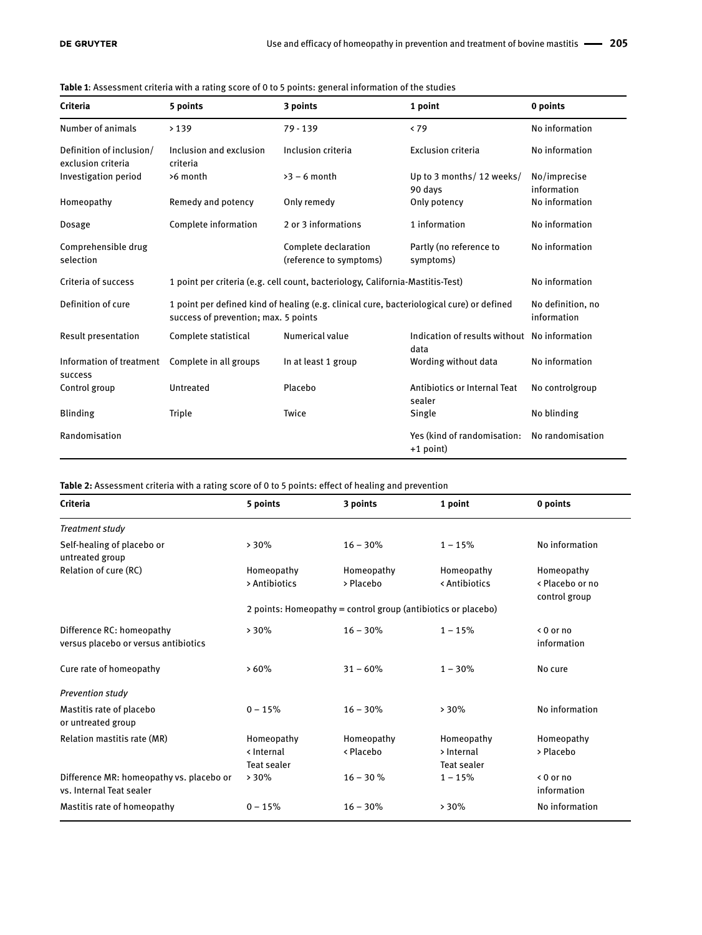| Criteria                                       | 5 points                                                                                                                          | 3 points                                        | 1 point                                    | 0 points                                     |  |  |
|------------------------------------------------|-----------------------------------------------------------------------------------------------------------------------------------|-------------------------------------------------|--------------------------------------------|----------------------------------------------|--|--|
| Number of animals                              | >139                                                                                                                              | $79 - 139$                                      | < 79                                       | No information                               |  |  |
| Definition of inclusion/<br>exclusion criteria | Inclusion and exclusion<br>criteria                                                                                               | Inclusion criteria                              | <b>Exclusion criteria</b>                  | No information                               |  |  |
| Investigation period                           | >6 month                                                                                                                          | $>3 - 6$ month                                  | Up to 3 months/ 12 weeks/<br>90 days       | No/imprecise<br>information                  |  |  |
| Homeopathy                                     | Remedy and potency                                                                                                                | Only remedy                                     | Only potency                               | No information                               |  |  |
| Dosage                                         | Complete information                                                                                                              | 2 or 3 informations                             | 1 information                              | No information                               |  |  |
| Comprehensible drug<br>selection               |                                                                                                                                   | Complete declaration<br>(reference to symptoms) | Partly (no reference to<br>symptoms)       | No information                               |  |  |
| Criteria of success                            | 1 point per criteria (e.g. cell count, bacteriology, California-Mastitis-Test)                                                    | No information                                  |                                            |                                              |  |  |
| Definition of cure                             | 1 point per defined kind of healing (e.g. clinical cure, bacteriological cure) or defined<br>success of prevention; max. 5 points | No definition, no<br>information                |                                            |                                              |  |  |
| <b>Result presentation</b>                     | Complete statistical                                                                                                              | Numerical value<br>data                         |                                            | Indication of results without No information |  |  |
| Information of treatment<br>success            | Complete in all groups                                                                                                            | In at least 1 group                             | Wording without data                       | No information                               |  |  |
| Control group                                  | Untreated                                                                                                                         | Placebo                                         | Antibiotics or Internal Teat<br>sealer     | No controlgroup                              |  |  |
| <b>Blinding</b>                                | Triple                                                                                                                            | Twice                                           | Single                                     | No blinding                                  |  |  |
| Randomisation                                  |                                                                                                                                   |                                                 | Yes (kind of randomisation:<br>$+1$ point) | No randomisation                             |  |  |

#### **Table 1**: Assessment criteria with a rating score of 0 to 5 points: general information of the studies

**Table 2:** Assessment criteria with a rating score of 0 to 5 points: effect of healing and prevention

| Criteria                                                             | 5 points                                                      | 3 points                | 1 point                                 | 0 points                                       |  |  |  |  |  |  |
|----------------------------------------------------------------------|---------------------------------------------------------------|-------------------------|-----------------------------------------|------------------------------------------------|--|--|--|--|--|--|
| Treatment study                                                      |                                                               |                         |                                         |                                                |  |  |  |  |  |  |
| Self-healing of placebo or<br>untreated group                        | >30%                                                          | $16 - 30%$              | $1 - 15%$                               | No information                                 |  |  |  |  |  |  |
| Relation of cure (RC)                                                | Homeopathy<br>> Antibiotics                                   | Homeopathy<br>> Placebo | Homeopathy<br>< Antibiotics             | Homeopathy<br>< Placebo or no<br>control group |  |  |  |  |  |  |
|                                                                      | 2 points: Homeopathy = control group (antibiotics or placebo) |                         |                                         |                                                |  |  |  |  |  |  |
| Difference RC: homeopathy<br>versus placebo or versus antibiotics    | >30%                                                          | $16 - 30%$              | $1 - 15%$                               | $< 0$ or no<br>information                     |  |  |  |  |  |  |
| Cure rate of homeopathy                                              | >60%                                                          | $31 - 60%$              | $1 - 30\%$                              | No cure                                        |  |  |  |  |  |  |
| <b>Prevention study</b>                                              |                                                               |                         |                                         |                                                |  |  |  |  |  |  |
| Mastitis rate of placebo<br>or untreated group                       | $0 - 15%$                                                     | $16 - 30%$              | >30%                                    | No information                                 |  |  |  |  |  |  |
| Relation mastitis rate (MR)                                          | Homeopathy<br>< Internal<br><b>Teat sealer</b>                | Homeopathy<br>< Placebo | Homeopathy<br>> Internal<br>Teat sealer | Homeopathy<br>> Placebo                        |  |  |  |  |  |  |
| Difference MR: homeopathy vs. placebo or<br>vs. Internal Teat sealer | >30%                                                          | $16 - 30%$              | $1 - 15%$                               | $0$ or no<br>information                       |  |  |  |  |  |  |
| Mastitis rate of homeopathy                                          | $0 - 15%$                                                     | $16 - 30%$              | >30%                                    | No information                                 |  |  |  |  |  |  |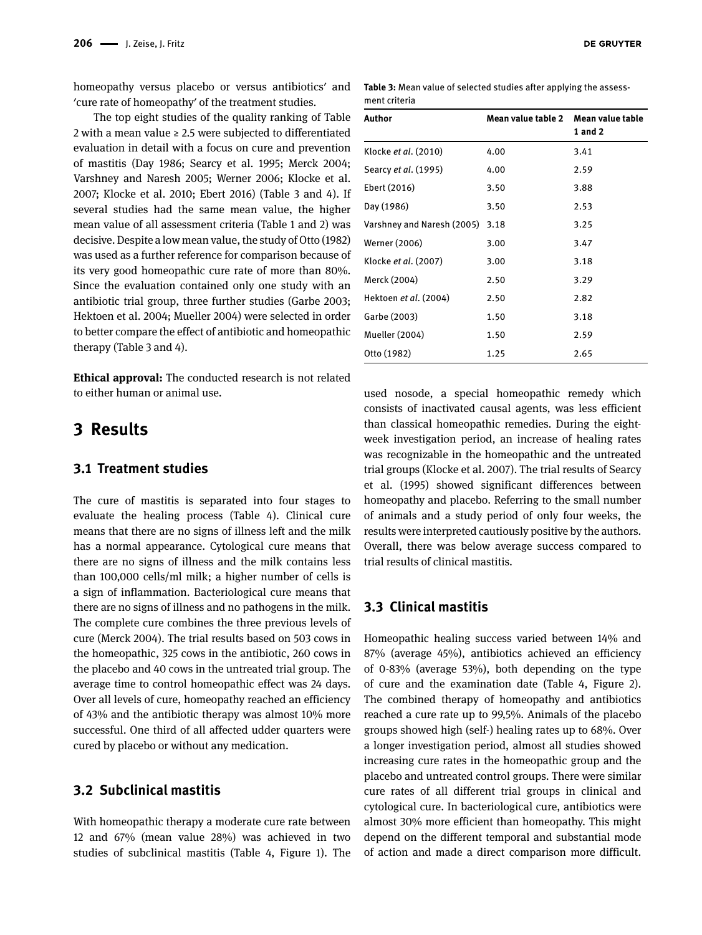homeopathy versus placebo or versus antibiotics' and ʹcure rate of homeopathyʹ of the treatment studies.

The top eight studies of the quality ranking of Table 2 with a mean value  $\geq 2.5$  were subjected to differentiated evaluation in detail with a focus on cure and prevention of mastitis (Day 1986; Searcy et al. 1995; Merck 2004; Varshney and Naresh 2005; Werner 2006; Klocke et al. 2007; Klocke et al. 2010; Ebert 2016) (Table 3 and 4). If several studies had the same mean value, the higher mean value of all assessment criteria (Table 1 and 2) was decisive. Despite a low mean value, the study of Otto (1982) was used as a further reference for comparison because of its very good homeopathic cure rate of more than 80%. Since the evaluation contained only one study with an antibiotic trial group, three further studies (Garbe 2003; Hektoen et al. 2004; Mueller 2004) were selected in order to better compare the effect of antibiotic and homeopathic therapy (Table 3 and 4).

**Ethical approval:** The conducted research is not related to either human or animal use.

## **3 Results**

#### **3.1 Treatment studies**

The cure of mastitis is separated into four stages to evaluate the healing process (Table 4). Clinical cure means that there are no signs of illness left and the milk has a normal appearance. Cytological cure means that there are no signs of illness and the milk contains less than 100,000 cells/ml milk; a higher number of cells is a sign of inflammation. Bacteriological cure means that there are no signs of illness and no pathogens in the milk. The complete cure combines the three previous levels of cure (Merck 2004). The trial results based on 503 cows in the homeopathic, 325 cows in the antibiotic, 260 cows in the placebo and 40 cows in the untreated trial group. The average time to control homeopathic effect was 24 days. Over all levels of cure, homeopathy reached an efficiency of 43% and the antibiotic therapy was almost 10% more successful. One third of all affected udder quarters were cured by placebo or without any medication.

## **3.2 Subclinical mastitis**

With homeopathic therapy a moderate cure rate between 12 and 67% (mean value 28%) was achieved in two studies of subclinical mastitis (Table 4, Figure 1). The **Table 3:** Mean value of selected studies after applying the assessment criteria

| Author                      | Mean value table 2 Mean value table | 1 and 2 |
|-----------------------------|-------------------------------------|---------|
| Klocke et al. (2010)        | 4.00                                | 3.41    |
| Searcy <i>et al.</i> (1995) | 4.00                                | 2.59    |
| Ebert (2016)                | 3.50                                | 3.88    |
| Day (1986)                  | 3.50                                | 2.53    |
| Varshney and Naresh (2005)  | 3.18                                | 3.25    |
| Werner (2006)               | 3.00                                | 3.47    |
| Klocke et al. (2007)        | 3.00                                | 3.18    |
| Merck (2004)                | 2.50                                | 3.29    |
| Hektoen et al. (2004)       | 2.50                                | 2.82    |
| Garbe (2003)                | 1.50                                | 3.18    |
| <b>Mueller (2004)</b>       | 1.50                                | 2.59    |
| Otto (1982)                 | 1.25                                | 2.65    |

used nosode, a special homeopathic remedy which consists of inactivated causal agents, was less efficient than classical homeopathic remedies. During the eightweek investigation period, an increase of healing rates was recognizable in the homeopathic and the untreated trial groups (Klocke et al. 2007). The trial results of Searcy et al. (1995) showed significant differences between homeopathy and placebo. Referring to the small number of animals and a study period of only four weeks, the results were interpreted cautiously positive by the authors. Overall, there was below average success compared to trial results of clinical mastitis.

#### **3.3 Clinical mastitis**

Homeopathic healing success varied between 14% and 87% (average 45%), antibiotics achieved an efficiency of 0-83% (average 53%), both depending on the type of cure and the examination date (Table 4, Figure 2). The combined therapy of homeopathy and antibiotics reached a cure rate up to 99,5%. Animals of the placebo groups showed high (self-) healing rates up to 68%. Over a longer investigation period, almost all studies showed increasing cure rates in the homeopathic group and the placebo and untreated control groups. There were similar cure rates of all different trial groups in clinical and cytological cure. In bacteriological cure, antibiotics were almost 30% more efficient than homeopathy. This might depend on the different temporal and substantial mode of action and made a direct comparison more difficult.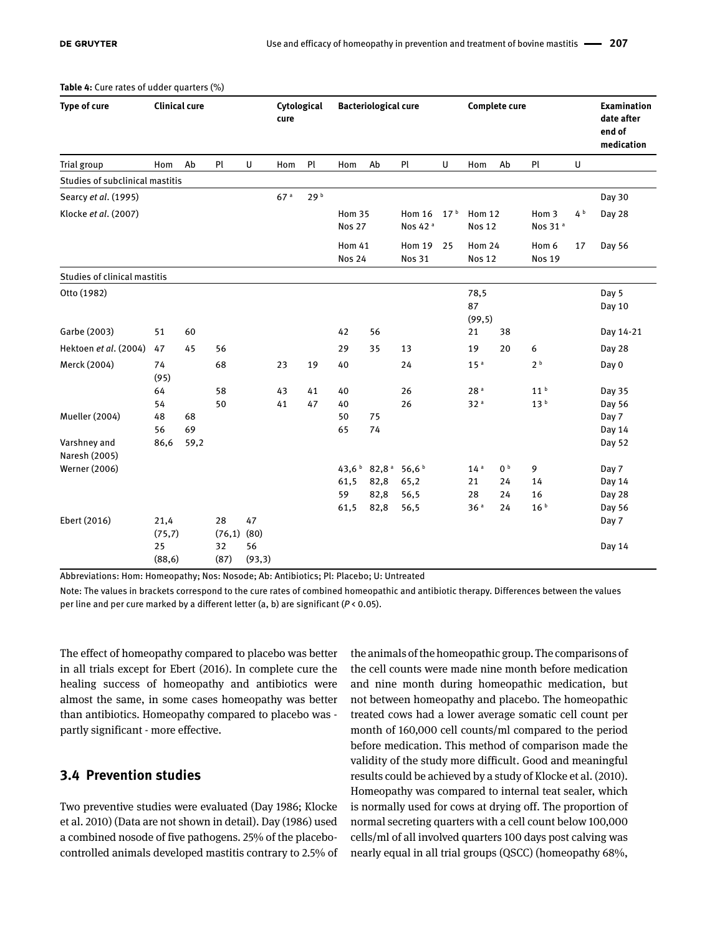| Type of cure                    | <b>Clinical cure</b> |            |              | Cytological<br>cure |                 | <b>Bacteriological cure</b> |                                |                    | <b>Complete cure</b>                 |                 |                                |                | <b>Examination</b><br>date after<br>end of<br>medication |                |                  |
|---------------------------------|----------------------|------------|--------------|---------------------|-----------------|-----------------------------|--------------------------------|--------------------|--------------------------------------|-----------------|--------------------------------|----------------|----------------------------------------------------------|----------------|------------------|
| Trial group                     | Hom                  | Ab         | Pl           | U                   | Hom             | Pl                          | Hom                            | Ab                 | Pl                                   | U               | Hom                            | Ab             | Pl                                                       | U              |                  |
| Studies of subclinical mastitis |                      |            |              |                     |                 |                             |                                |                    |                                      |                 |                                |                |                                                          |                |                  |
| Searcy et al. (1995)            |                      |            |              |                     | 67 <sup>a</sup> | 29b                         |                                |                    |                                      |                 |                                |                |                                                          |                | Day 30           |
| Klocke et al. (2007)            |                      |            |              |                     |                 |                             | <b>Hom 35</b><br><b>Nos 27</b> |                    | <b>Hom 16</b><br>Nos 42 <sup>a</sup> | 17 <sup>b</sup> | <b>Hom 12</b><br><b>Nos 12</b> |                | Hom 3<br>Nos 31 <sup>a</sup>                             | 4 <sup>b</sup> | Day 28           |
|                                 |                      |            |              |                     |                 |                             | <b>Hom 41</b><br><b>Nos 24</b> |                    | <b>Hom 19</b><br><b>Nos 31</b>       | 25              | <b>Hom 24</b><br><b>Nos 12</b> |                | Hom 6<br><b>Nos 19</b>                                   | 17             | Day 56           |
| Studies of clinical mastitis    |                      |            |              |                     |                 |                             |                                |                    |                                      |                 |                                |                |                                                          |                |                  |
| Otto (1982)                     |                      |            |              |                     |                 |                             |                                |                    |                                      |                 | 78,5<br>87<br>(99, 5)          |                |                                                          |                | Day 5<br>Day 10  |
| Garbe (2003)                    | 51                   | 60         |              |                     |                 |                             | 42                             | 56                 |                                      |                 | 21                             | 38             |                                                          |                | Day 14-21        |
| Hektoen et al. (2004)           | 47                   | 45         | 56           |                     |                 |                             | 29                             | 35                 | 13                                   |                 | 19                             | 20             | 6                                                        |                | Day 28           |
| Merck (2004)                    | 74<br>(95)           |            | 68           |                     | 23              | 19                          | 40                             |                    | 24                                   |                 | 15 <sup>a</sup>                |                | 2 <sup>b</sup>                                           |                | Day 0            |
|                                 | 64                   |            | 58           |                     | 43              | 41                          | 40                             |                    | 26                                   |                 | 28 <sup>a</sup>                |                | 11 <sup>b</sup>                                          |                | Day 35           |
|                                 | 54                   |            | 50           |                     | 41              | 47                          | 40                             |                    | 26                                   |                 | 32 <sup>a</sup>                |                | 13 <sup>b</sup>                                          |                | Day 56           |
| Mueller (2004)                  | 48                   | 68         |              |                     |                 |                             | 50                             | 75                 |                                      |                 |                                |                |                                                          |                | Day 7            |
| Varshney and<br>Naresh (2005)   | 56<br>86,6           | 69<br>59,2 |              |                     |                 |                             | 65                             | 74                 |                                      |                 |                                |                |                                                          |                | Day 14<br>Day 52 |
| Werner (2006)                   |                      |            |              |                     |                 |                             | 43,6 $b$                       | $82,8^{\text{ a}}$ | 56,6 <sup>b</sup>                    |                 | 14 <sup>a</sup>                | 0 <sup>b</sup> | 9                                                        |                | Day 7            |
|                                 |                      |            |              |                     |                 |                             | 61,5                           | 82,8               | 65,2                                 |                 | 21                             | 24             | 14                                                       |                | Day 14           |
|                                 |                      |            |              |                     |                 |                             | 59                             | 82,8               | 56,5                                 |                 | 28                             | 24             | 16                                                       |                | Day 28           |
|                                 |                      |            |              |                     |                 |                             | 61,5                           | 82,8               | 56,5                                 |                 | 36 <sup>a</sup>                | 24             | 16 <sup>b</sup>                                          |                | Day 56           |
| Ebert (2016)                    | 21,4<br>(75,7)       |            | 28<br>(76,1) | 47<br>(80)          |                 |                             |                                |                    |                                      |                 |                                |                |                                                          |                | Day 7            |
|                                 | 25<br>(88, 6)        |            | 32<br>(87)   | 56<br>(93,3)        |                 |                             |                                |                    |                                      |                 |                                |                |                                                          |                | Day 14           |

**Table 4:** Cure rates of udder quarters (%)

Abbreviations: Hom: Homeopathy; Nos: Nosode; Ab: Antibiotics; Pl: Placebo; U: Untreated

Note: The values in brackets correspond to the cure rates of combined homeopathic and antibiotic therapy. Differences between the values per line and per cure marked by a different letter (a, b) are significant (*P* < 0.05).

The effect of homeopathy compared to placebo was better in all trials except for Ebert (2016). In complete cure the healing success of homeopathy and antibiotics were almost the same, in some cases homeopathy was better than antibiotics. Homeopathy compared to placebo was partly significant - more effective.

### **3.4 Prevention studies**

Two preventive studies were evaluated (Day 1986; Klocke et al. 2010) (Data are not shown in detail). Day (1986) used a combined nosode of five pathogens. 25% of the placebocontrolled animals developed mastitis contrary to 2.5% of

the animals of the homeopathic group. The comparisons of the cell counts were made nine month before medication and nine month during homeopathic medication, but not between homeopathy and placebo. The homeopathic treated cows had a lower average somatic cell count per month of 160,000 cell counts/ml compared to the period before medication. This method of comparison made the validity of the study more difficult. Good and meaningful results could be achieved by a study of Klocke et al. (2010). Homeopathy was compared to internal teat sealer, which is normally used for cows at drying off. The proportion of normal secreting quarters with a cell count below 100,000 cells/ml of all involved quarters 100 days post calving was nearly equal in all trial groups (QSCC) (homeopathy 68%,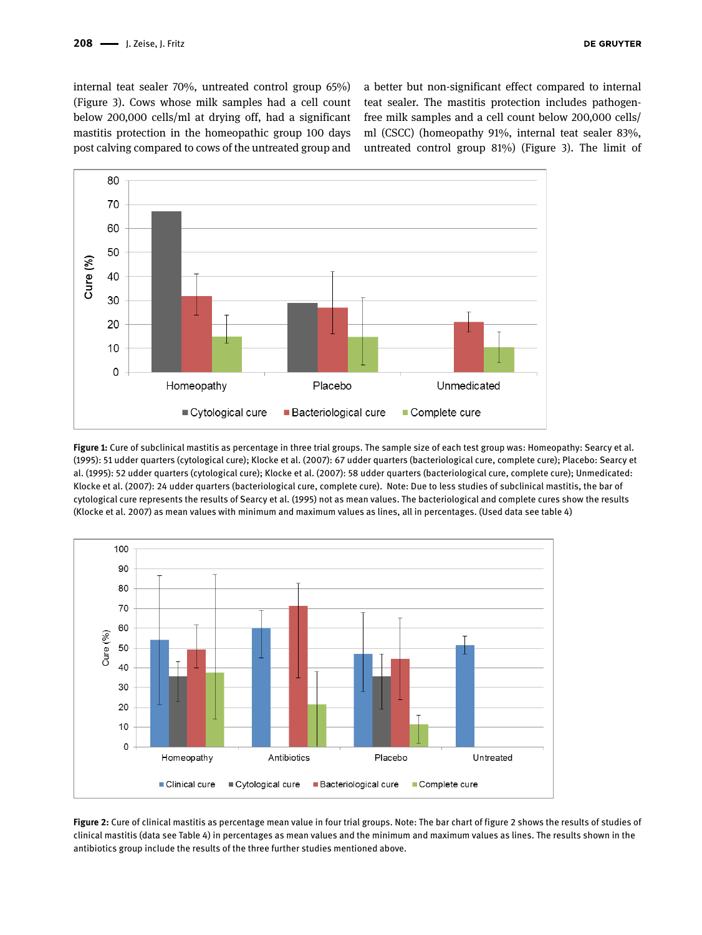internal teat sealer 70%, untreated control group 65%) (Figure 3). Cows whose milk samples had a cell count below 200,000 cells/ml at drying off, had a significant mastitis protection in the homeopathic group 100 days post calving compared to cows of the untreated group and a better but non-significant effect compared to internal teat sealer. The mastitis protection includes pathogenfree milk samples and a cell count below 200,000 cells/ ml (CSCC) (homeopathy 91%, internal teat sealer 83%, untreated control group 81%) (Figure 3). The limit of



**Figure 1:** Cure of subclinical mastitis as percentage in three trial groups. The sample size of each test group was: Homeopathy: Searcy et al. (1995): 51 udder quarters (cytological cure); Klocke et al. (2007): 67 udder quarters (bacteriological cure, complete cure); Placebo: Searcy et al. (1995): 52 udder quarters (cytological cure); Klocke et al. (2007): 58 udder quarters (bacteriological cure, complete cure); Unmedicated: Klocke et al. (2007): 24 udder quarters (bacteriological cure, complete cure). Note: Due to less studies of subclinical mastitis, the bar of cytological cure represents the results of Searcy et al. (1995) not as mean values. The bacteriological and complete cures show the results (Klocke et al. 2007) as mean values with minimum and maximum values as lines, all in percentages. (Used data see table 4)



**Figure 2:** Cure of clinical mastitis as percentage mean value in four trial groups. Note: The bar chart of figure 2 shows the results of studies of clinical mastitis (data see Table 4) in percentages as mean values and the minimum and maximum values as lines. The results shown in the antibiotics group include the results of the three further studies mentioned above.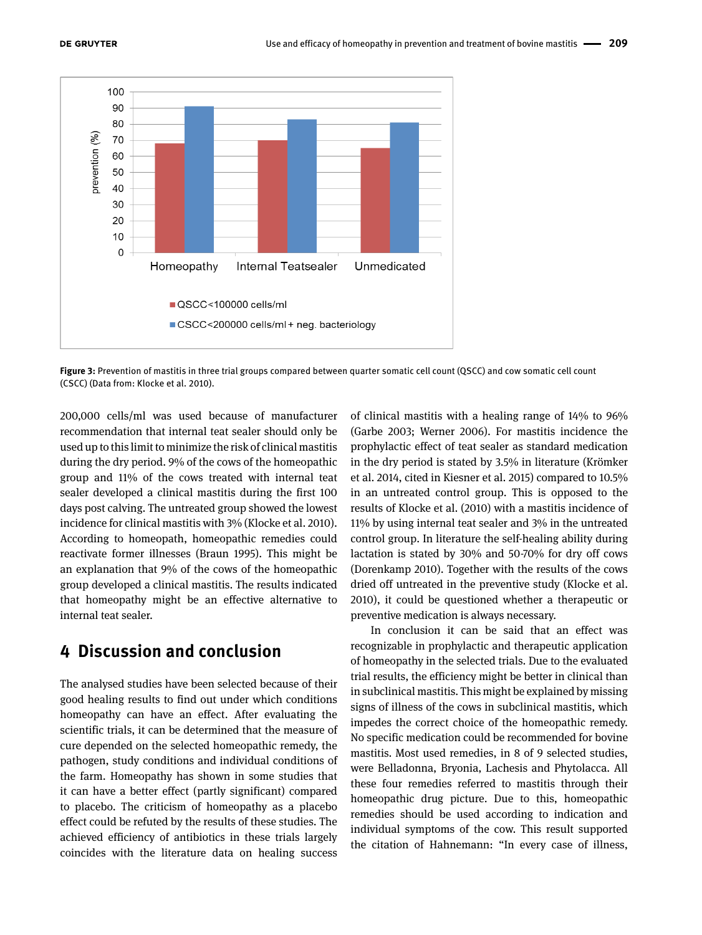

**Figure 3:** Prevention of mastitis in three trial groups compared between quarter somatic cell count (QSCC) and cow somatic cell count (CSCC) (Data from: Klocke et al. 2010).

200,000 cells/ml was used because of manufacturer recommendation that internal teat sealer should only be used up to this limit to minimize the risk of clinical mastitis during the dry period. 9% of the cows of the homeopathic group and 11% of the cows treated with internal teat sealer developed a clinical mastitis during the first 100 days post calving. The untreated group showed the lowest incidence for clinical mastitis with 3% (Klocke et al. 2010). According to homeopath, homeopathic remedies could reactivate former illnesses (Braun 1995). This might be an explanation that 9% of the cows of the homeopathic group developed a clinical mastitis. The results indicated that homeopathy might be an effective alternative to internal teat sealer.

# **4 Discussion and conclusion**

The analysed studies have been selected because of their good healing results to find out under which conditions homeopathy can have an effect. After evaluating the scientific trials, it can be determined that the measure of cure depended on the selected homeopathic remedy, the pathogen, study conditions and individual conditions of the farm. Homeopathy has shown in some studies that it can have a better effect (partly significant) compared to placebo. The criticism of homeopathy as a placebo effect could be refuted by the results of these studies. The achieved efficiency of antibiotics in these trials largely coincides with the literature data on healing success

of clinical mastitis with a healing range of 14% to 96% (Garbe 2003; Werner 2006). For mastitis incidence the prophylactic effect of teat sealer as standard medication in the dry period is stated by 3.5% in literature (Krömker et al. 2014, cited in Kiesner et al. 2015) compared to 10.5% in an untreated control group. This is opposed to the results of Klocke et al. (2010) with a mastitis incidence of 11% by using internal teat sealer and 3% in the untreated control group. In literature the self-healing ability during lactation is stated by 30% and 50-70% for dry off cows (Dorenkamp 2010). Together with the results of the cows dried off untreated in the preventive study (Klocke et al. 2010), it could be questioned whether a therapeutic or preventive medication is always necessary.

In conclusion it can be said that an effect was recognizable in prophylactic and therapeutic application of homeopathy in the selected trials. Due to the evaluated trial results, the efficiency might be better in clinical than in subclinical mastitis. This might be explained by missing signs of illness of the cows in subclinical mastitis, which impedes the correct choice of the homeopathic remedy. No specific medication could be recommended for bovine mastitis. Most used remedies, in 8 of 9 selected studies, were Belladonna, Bryonia, Lachesis and Phytolacca. All these four remedies referred to mastitis through their homeopathic drug picture. Due to this, homeopathic remedies should be used according to indication and individual symptoms of the cow. This result supported the citation of Hahnemann: "In every case of illness,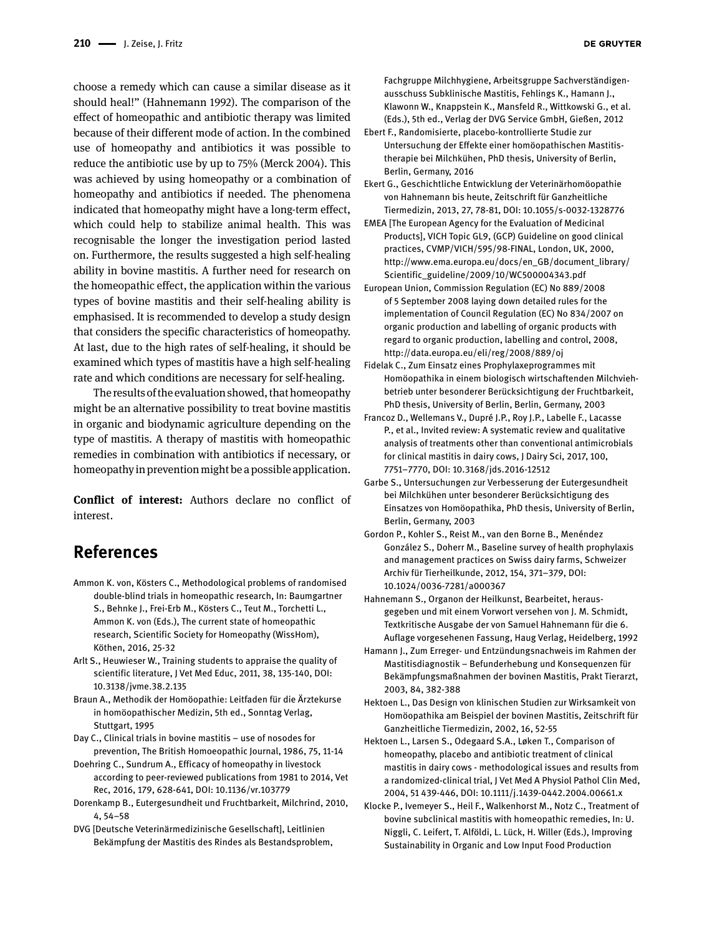choose a remedy which can cause a similar disease as it should heal!" (Hahnemann 1992). The comparison of the effect of homeopathic and antibiotic therapy was limited because of their different mode of action. In the combined use of homeopathy and antibiotics it was possible to reduce the antibiotic use by up to 75% (Merck 2004). This was achieved by using homeopathy or a combination of homeopathy and antibiotics if needed. The phenomena indicated that homeopathy might have a long-term effect, which could help to stabilize animal health. This was recognisable the longer the investigation period lasted on. Furthermore, the results suggested a high self-healing ability in bovine mastitis. A further need for research on the homeopathic effect, the application within the various types of bovine mastitis and their self-healing ability is emphasised. It is recommended to develop a study design that considers the specific characteristics of homeopathy. At last, due to the high rates of self-healing, it should be examined which types of mastitis have a high self-healing rate and which conditions are necessary for self-healing.

The results of the evaluation showed, that homeopathy might be an alternative possibility to treat bovine mastitis in organic and biodynamic agriculture depending on the type of mastitis. A therapy of mastitis with homeopathic remedies in combination with antibiotics if necessary, or homeopathy in prevention might be a possible application.

**Conflict of interest:** Authors declare no conflict of interest.

# **References**

- Ammon K. von, Kösters C., Methodological problems of randomised double-blind trials in homeopathic research, In: Baumgartner S., Behnke J., Frei-Erb M., Kösters C., Teut M., Torchetti L., Ammon K. von (Eds.), The current state of homeopathic research, Scientific Society for Homeopathy (WissHom), Köthen, 2016, 25-32
- Arlt S., Heuwieser W., Training students to appraise the quality of scientific literature, J Vet Med Educ, 2011, 38, 135-140, DOI: 10.3138/jvme.38.2.135
- Braun A., Methodik der Homöopathie: Leitfaden für die Ärztekurse in homöopathischer Medizin, 5th ed., Sonntag Verlag, Stuttgart, 1995
- Day C., Clinical trials in bovine mastitis use of nosodes for prevention, The British Homoeopathic Journal, 1986, 75, 11-14
- Doehring C., Sundrum A., Efficacy of homeopathy in livestock according to peer-reviewed publications from 1981 to 2014, Vet Rec, 2016, 179, 628-641, DOI: 10.1136/vr.103779
- Dorenkamp B., Eutergesundheit und Fruchtbarkeit, Milchrind, 2010, 4, 54–58
- DVG [Deutsche Veterinärmedizinische Gesellschaft], Leitlinien Bekämpfung der Mastitis des Rindes als Bestandsproblem,

Fachgruppe Milchhygiene, Arbeitsgruppe Sachverständigenausschuss Subklinische Mastitis, Fehlings K., Hamann J., Klawonn W., Knappstein K., Mansfeld R., Wittkowski G., et al. (Eds.), 5th ed., Verlag der DVG Service GmbH, Gießen, 2012

- Ebert F., Randomisierte, placebo-kontrollierte Studie zur Untersuchung der Effekte einer homöopathischen Mastitistherapie bei Milchkühen, PhD thesis, University of Berlin, Berlin, Germany, 2016
- Ekert G., Geschichtliche Entwicklung der Veterinärhomöopathie von Hahnemann bis heute, Zeitschrift für Ganzheitliche Tiermedizin, 2013, 27, 78-81, DOI: 10.1055/s-0032-1328776
- EMEA [The European Agency for the Evaluation of Medicinal Products], VICH Topic GL9, (GCP) Guideline on good clinical practices, CVMP/VICH/595/98-FINAL, London, UK, 2000, http://www.ema.europa.eu/docs/en\_GB/document\_library/ Scientific\_guideline/2009/10/WC500004343.pdf
- European Union, Commission Regulation (EC) No 889/2008 of 5 September 2008 laying down detailed rules for the implementation of Council Regulation (EC) No 834/2007 on organic production and labelling of organic products with regard to organic production, labelling and control, 2008, http://data.europa.eu/eli/reg/2008/889/oj
- Fidelak C., Zum Einsatz eines Prophylaxeprogrammes mit Homöopathika in einem biologisch wirtschaftenden Milchviehbetrieb unter besonderer Berücksichtigung der Fruchtbarkeit, PhD thesis, University of Berlin, Berlin, Germany, 2003
- Francoz D., Wellemans V., Dupré J.P., Roy J.P., Labelle F., Lacasse P., et al., Invited review: A systematic review and qualitative analysis of treatments other than conventional antimicrobials for clinical mastitis in dairy cows, J Dairy Sci, 2017, 100, 7751–7770, DOI: 10.3168/jds.2016-12512
- Garbe S., Untersuchungen zur Verbesserung der Eutergesundheit bei Milchkühen unter besonderer Berücksichtigung des Einsatzes von Homöopathika, PhD thesis, University of Berlin, Berlin, Germany, 2003
- Gordon P., Kohler S., Reist M., van den Borne B., Menéndez González S., Doherr M., Baseline survey of health prophylaxis and management practices on Swiss dairy farms, Schweizer Archiv für Tierheilkunde, 2012, 154, 371–379, DOI: 10.1024/0036-7281/a000367
- Hahnemann S., Organon der Heilkunst, Bearbeitet, herausgegeben und mit einem Vorwort versehen von J. M. Schmidt, Textkritische Ausgabe der von Samuel Hahnemann für die 6. Auflage vorgesehenen Fassung, Haug Verlag, Heidelberg, 1992
- Hamann J., Zum Erreger- und Entzündungsnachweis im Rahmen der Mastitisdiagnostik – Befunderhebung und Konsequenzen für Bekämpfungsmaßnahmen der bovinen Mastitis, Prakt Tierarzt, 2003, 84, 382-388
- Hektoen L., Das Design von klinischen Studien zur Wirksamkeit von Homöopathika am Beispiel der bovinen Mastitis, Zeitschrift für Ganzheitliche Tiermedizin, 2002, 16, 52-55
- Hektoen L., Larsen S., Odegaard S.A., Løken T., Comparison of homeopathy, placebo and antibiotic treatment of clinical mastitis in dairy cows - methodological issues and results from a randomized-clinical trial, J Vet Med A Physiol Pathol Clin Med, 2004, 51 439-446, DOI: 10.1111/j.1439-0442.2004.00661.x
- Klocke P., Ivemeyer S., Heil F., Walkenhorst M., Notz C., Treatment of bovine subclinical mastitis with homeopathic remedies, In: U. Niggli, C. Leifert, T. Alföldi, L. Lück, H. Willer (Eds.), Improving Sustainability in Organic and Low Input Food Production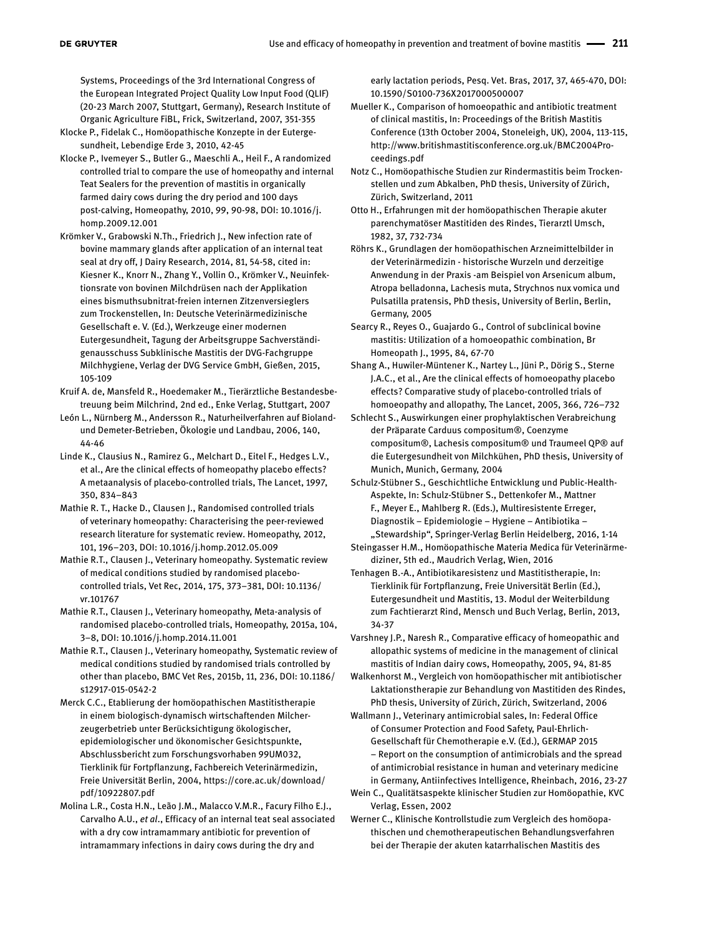Systems, Proceedings of the 3rd International Congress of the European Integrated Project Quality Low Input Food (QLIF) (20-23 March 2007, Stuttgart, Germany), Research Institute of Organic Agriculture FiBL, Frick, Switzerland, 2007, 351-355

- Klocke P., Fidelak C., Homöopathische Konzepte in der Eutergesundheit, Lebendige Erde 3, 2010, 42-45
- Klocke P., Ivemeyer S., Butler G., Maeschli A., Heil F., A randomized controlled trial to compare the use of homeopathy and internal Teat Sealers for the prevention of mastitis in organically farmed dairy cows during the dry period and 100 days post-calving, Homeopathy, 2010, 99, 90-98, DOI: 10.1016/j. homp.2009.12.001
- Krömker V., Grabowski N.Th., Friedrich J., New infection rate of bovine mammary glands after application of an internal teat seal at dry off, J Dairy Research, 2014, 81, 54-58, cited in: Kiesner K., Knorr N., Zhang Y., Vollin O., Krömker V., Neuinfektionsrate von bovinen Milchdrüsen nach der Applikation eines bismuthsubnitrat-freien internen Zitzenversieglers zum Trockenstellen, In: Deutsche Veterinärmedizinische Gesellschaft e. V. (Ed.), Werkzeuge einer modernen Eutergesundheit, Tagung der Arbeitsgruppe Sachverständigenausschuss Subklinische Mastitis der DVG-Fachgruppe Milchhygiene, Verlag der DVG Service GmbH, Gießen, 2015, 105-109
- Kruif A. de, Mansfeld R., Hoedemaker M., Tierärztliche Bestandesbetreuung beim Milchrind, 2nd ed., Enke Verlag, Stuttgart, 2007
- León L., Nürnberg M., Andersson R., Naturheilverfahren auf Biolandund Demeter-Betrieben, Ökologie und Landbau, 2006, 140, 44-46
- Linde K., Clausius N., Ramirez G., Melchart D., Eitel F., Hedges L.V., et al., Are the clinical effects of homeopathy placebo effects? A metaanalysis of placebo-controlled trials, The Lancet, 1997, 350, 834–843
- Mathie R. T., Hacke D., Clausen J., Randomised controlled trials of veterinary homeopathy: Characterising the peer-reviewed research literature for systematic review. Homeopathy, 2012, 101, 196–203, DOI: 10.1016/j.homp.2012.05.009
- Mathie R.T., Clausen J., Veterinary homeopathy. Systematic review of medical conditions studied by randomised placebocontrolled trials, Vet Rec, 2014, 175, 373–381, DOI: 10.1136/ vr.101767
- Mathie R.T., Clausen J., Veterinary homeopathy, Meta-analysis of randomised placebo-controlled trials, Homeopathy, 2015a, 104, 3–8, DOI: 10.1016/j.homp.2014.11.001
- Mathie R.T., Clausen J., Veterinary homeopathy, Systematic review of medical conditions studied by randomised trials controlled by other than placebo, BMC Vet Res, 2015b, 11, 236, DOI: 10.1186/ s12917-015-0542-2
- Merck C.C., Etablierung der homöopathischen Mastitistherapie in einem biologisch-dynamisch wirtschaftenden Milcherzeugerbetrieb unter Berücksichtigung ökologischer, epidemiologischer und ökonomischer Gesichtspunkte, Abschlussbericht zum Forschungsvorhaben 99UM032, Tierklinik für Fortpflanzung, Fachbereich Veterinärmedizin, Freie Universität Berlin, 2004, https://core.ac.uk/download/ pdf/10922807.pdf
- Molina L.R., Costa H.N., Leão J.M., Malacco V.M.R., Facury Filho E.J., Carvalho A.U., *et al*., Efficacy of an internal teat seal associated with a dry cow intramammary antibiotic for prevention of intramammary infections in dairy cows during the dry and

early lactation periods, Pesq. Vet. Bras, 2017, 37, 465-470, DOI: 10.1590/S0100-736X2017000500007

- Mueller K., Comparison of homoeopathic and antibiotic treatment of clinical mastitis, In: Proceedings of the British Mastitis Conference (13th October 2004, Stoneleigh, UK), 2004, 113-115, http://www.britishmastitisconference.org.uk/BMC2004Proceedings.pdf
- Notz C., Homöopathische Studien zur Rindermastitis beim Trockenstellen und zum Abkalben, PhD thesis, University of Zürich, Zürich, Switzerland, 2011
- Otto H., Erfahrungen mit der homöopathischen Therapie akuter parenchymatöser Mastitiden des Rindes, Tierarztl Umsch, 1982, 37, 732-734
- Röhrs K., Grundlagen der homöopathischen Arzneimittelbilder in der Veterinärmedizin - historische Wurzeln und derzeitige Anwendung in der Praxis -am Beispiel von Arsenicum album, Atropa belladonna, Lachesis muta, Strychnos nux vomica und Pulsatilla pratensis, PhD thesis, University of Berlin, Berlin, Germany, 2005
- Searcy R., Reyes O., Guajardo G., Control of subclinical bovine mastitis: Utilization of a homoeopathic combination, Br Homeopath J., 1995, 84, 67-70
- Shang A., Huwiler-Müntener K., Nartey L., Jüni P., Dörig S., Sterne J.A.C., et al., Are the clinical effects of homoeopathy placebo effects? Comparative study of placebo-controlled trials of homoeopathy and allopathy, The Lancet, 2005, 366, 726–732
- Schlecht S., Auswirkungen einer prophylaktischen Verabreichung der Präparate Carduus compositum®, Coenzyme compositum®, Lachesis compositum® und Traumeel QP® auf die Eutergesundheit von Milchkühen, PhD thesis, University of Munich, Munich, Germany, 2004
- Schulz-Stübner S., Geschichtliche Entwicklung und Public-Health-Aspekte, In: Schulz-Stübner S., Dettenkofer M., Mattner F., Meyer E., Mahlberg R. (Eds.), Multiresistente Erreger, Diagnostik – Epidemiologie – Hygiene – Antibiotika – "Stewardship", Springer-Verlag Berlin Heidelberg, 2016, 1-14
- Steingasser H.M., Homöopathische Materia Medica für Veterinärmediziner, 5th ed., Maudrich Verlag, Wien, 2016
- Tenhagen B.-A., Antibiotikaresistenz und Mastitistherapie, In: Tierklinik für Fortpflanzung, Freie Universität Berlin (Ed.), Eutergesundheit und Mastitis, 13. Modul der Weiterbildung zum Fachtierarzt Rind, Mensch und Buch Verlag, Berlin, 2013, 34-37
- Varshney J.P., Naresh R., Comparative efficacy of homeopathic and allopathic systems of medicine in the management of clinical mastitis of Indian dairy cows, Homeopathy, 2005, 94, 81-85
- Walkenhorst M., Vergleich von homöopathischer mit antibiotischer Laktationstherapie zur Behandlung von Mastitiden des Rindes, PhD thesis, University of Zürich, Zürich, Switzerland, 2006
- Wallmann J., Veterinary antimicrobial sales, In: Federal Office of Consumer Protection and Food Safety, Paul-Ehrlich-Gesellschaft für Chemotherapie e.V. (Ed.), GERMAP 2015 – Report on the consumption of antimicrobials and the spread of antimicrobial resistance in human and veterinary medicine in Germany, Antiinfectives Intelligence, Rheinbach, 2016, 23-27
- Wein C., Qualitätsaspekte klinischer Studien zur Homöopathie, KVC Verlag, Essen, 2002
- Werner C., Klinische Kontrollstudie zum Vergleich des homöopathischen und chemotherapeutischen Behandlungsverfahren bei der Therapie der akuten katarrhalischen Mastitis des